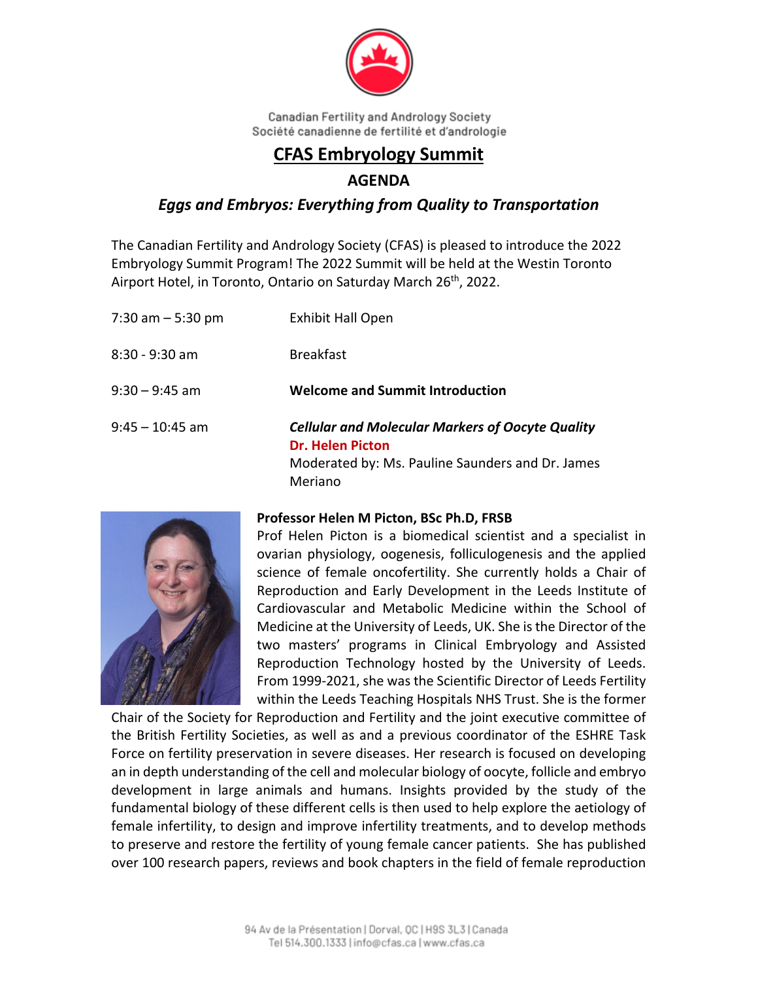

# **CFAS Embryology Summit**

## **AGENDA**

## *Eggs and Embryos: Everything from Quality to Transportation*

The Canadian Fertility and Andrology Society (CFAS) is pleased to introduce the 2022 Embryology Summit Program! The 2022 Summit will be held at the Westin Toronto Airport Hotel, in Toronto, Ontario on Saturday March 26<sup>th</sup>, 2022.

| 7:30 am $-$ 5:30 pm | <b>Exhibit Hall Open</b>                                                                                                                          |
|---------------------|---------------------------------------------------------------------------------------------------------------------------------------------------|
| $8:30 - 9:30$ am    | <b>Breakfast</b>                                                                                                                                  |
| $9:30 - 9:45$ am    | <b>Welcome and Summit Introduction</b>                                                                                                            |
| $9:45 - 10:45$ am   | <b>Cellular and Molecular Markers of Oocyte Quality</b><br><b>Dr. Helen Picton</b><br>Moderated by: Ms. Pauline Saunders and Dr. James<br>Meriano |



#### **Professor Helen M Picton, BSc Ph.D, FRSB**

Prof Helen Picton is a biomedical scientist and a specialist in ovarian physiology, oogenesis, folliculogenesis and the applied science of female oncofertility. She currently holds a Chair of Reproduction and Early Development in the Leeds Institute of Cardiovascular and Metabolic Medicine within the School of Medicine at the University of Leeds, UK. She isthe Director of the two masters' programs in Clinical Embryology and Assisted Reproduction Technology hosted by the University of Leeds. From 1999‐2021, she was the Scientific Director of Leeds Fertility within the Leeds Teaching Hospitals NHS Trust. She is the former

Chair of the Society for Reproduction and Fertility and the joint executive committee of the British Fertility Societies, as well as and a previous coordinator of the ESHRE Task Force on fertility preservation in severe diseases. Her research is focused on developing an in depth understanding of the cell and molecular biology of oocyte, follicle and embryo development in large animals and humans. Insights provided by the study of the fundamental biology of these different cells is then used to help explore the aetiology of female infertility, to design and improve infertility treatments, and to develop methods to preserve and restore the fertility of young female cancer patients. She has published over 100 research papers, reviews and book chapters in the field of female reproduction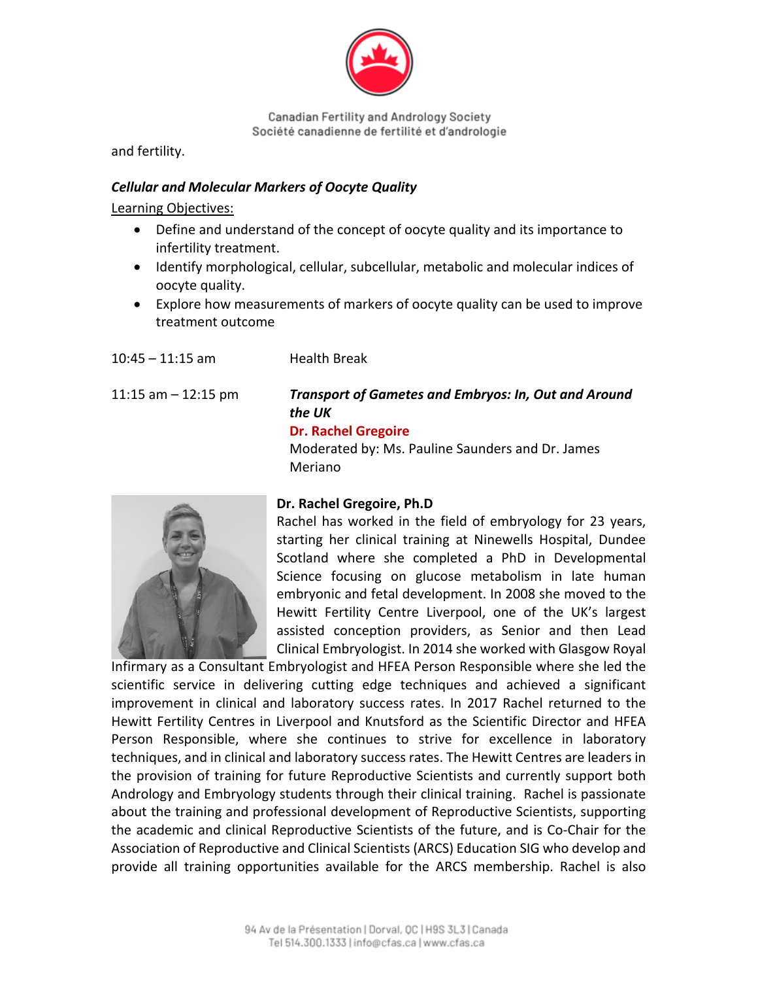

and fertility.

#### *Cellular and Molecular Markers of Oocyte Quality*

 $10.45$   $11.15$  am  $11$ calth Break

Learning Objectives:

- Define and understand of the concept of oocyte quality and its importance to infertility treatment.
- Identify morphological, cellular, subcellular, metabolic and molecular indices of oocyte quality.
- Explore how measurements of markers of oocyte quality can be used to improve treatment outcome

| $10.43 - 11.13$ dill  | <b>NEAILII DI EAK</b>                                                                                                                                              |
|-----------------------|--------------------------------------------------------------------------------------------------------------------------------------------------------------------|
| 11:15 am $-$ 12:15 pm | <b>Transport of Gametes and Embryos: In, Out and Around</b><br>the UK<br><b>Dr. Rachel Gregoire</b><br>Moderated by: Ms. Pauline Saunders and Dr. James<br>Meriano |
|                       | Dr. Rachel Gregoire, Ph.D                                                                                                                                          |



## **Dr. Rachel Gregoire, Ph.D**

Rachel has worked in the field of embryology for 23 years, starting her clinical training at Ninewells Hospital, Dundee Scotland where she completed a PhD in Developmental Science focusing on glucose metabolism in late human embryonic and fetal development. In 2008 she moved to the Hewitt Fertility Centre Liverpool, one of the UK's largest assisted conception providers, as Senior and then Lead Clinical Embryologist. In 2014 she worked with Glasgow Royal

Infirmary as a Consultant Embryologist and HFEA Person Responsible where she led the scientific service in delivering cutting edge techniques and achieved a significant improvement in clinical and laboratory success rates. In 2017 Rachel returned to the Hewitt Fertility Centres in Liverpool and Knutsford as the Scientific Director and HFEA Person Responsible, where she continues to strive for excellence in laboratory techniques, and in clinical and laboratory success rates. The Hewitt Centres are leaders in the provision of training for future Reproductive Scientists and currently support both Andrology and Embryology students through their clinical training. Rachel is passionate about the training and professional development of Reproductive Scientists, supporting the academic and clinical Reproductive Scientists of the future, and is Co‐Chair for the Association of Reproductive and Clinical Scientists (ARCS) Education SIG who develop and provide all training opportunities available for the ARCS membership. Rachel is also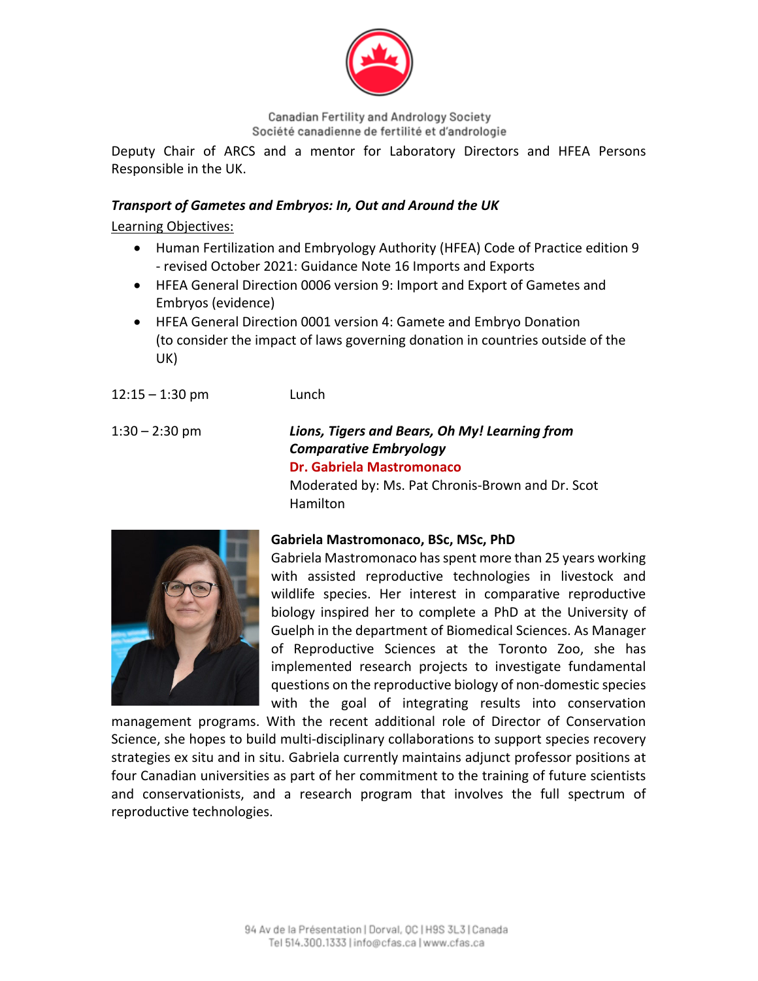

Deputy Chair of ARCS and a mentor for Laboratory Directors and HFEA Persons Responsible in the UK.

#### *Transport of Gametes and Embryos: In, Out and Around the UK*

Learning Objectives:

- Human Fertilization and Embryology Authority (HFEA) Code of Practice edition 9 ‐ revised October 2021: Guidance Note 16 Imports and Exports
- HFEA General Direction 0006 version 9: Import and Export of Gametes and Embryos (evidence)
- HFEA General Direction 0001 version 4: Gamete and Embryo Donation (to consider the impact of laws governing donation in countries outside of the UK)
- 12:15 1:30 pm Lunch

#### 1:30 – 2:30 pm *Lions, Tigers and Bears, Oh My! Learning from Comparative Embryology* **Dr. Gabriela Mastromonaco**

Moderated by: Ms. Pat Chronis‐Brown and Dr. Scot Hamilton



## **Gabriela Mastromonaco, BSc, MSc, PhD**

Gabriela Mastromonaco hasspent more than 25 years working with assisted reproductive technologies in livestock and wildlife species. Her interest in comparative reproductive biology inspired her to complete a PhD at the University of Guelph in the department of Biomedical Sciences. As Manager of Reproductive Sciences at the Toronto Zoo, she has implemented research projects to investigate fundamental questions on the reproductive biology of non‐domestic species with the goal of integrating results into conservation

management programs. With the recent additional role of Director of Conservation Science, she hopes to build multi‐disciplinary collaborations to support species recovery strategies ex situ and in situ. Gabriela currently maintains adjunct professor positions at four Canadian universities as part of her commitment to the training of future scientists and conservationists, and a research program that involves the full spectrum of reproductive technologies.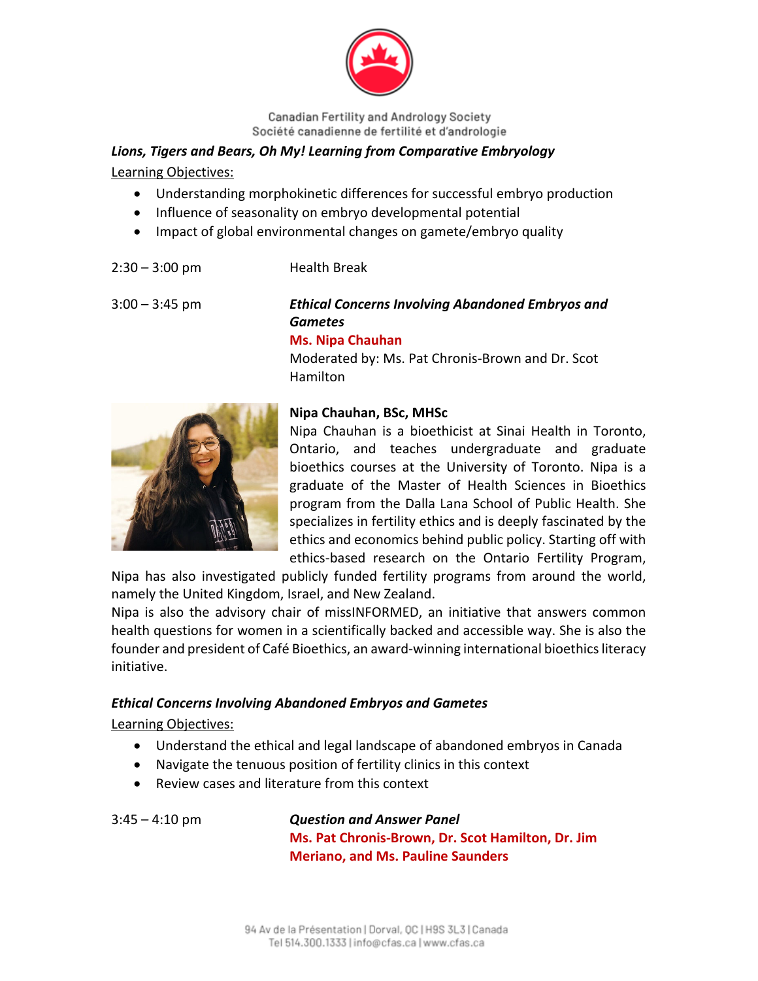

## *Lions, Tigers and Bears, Oh My! Learning from Comparative Embryology*

Learning Objectives:

- Understanding morphokinetic differences for successful embryo production
- Influence of seasonality on embryo developmental potential
- Impact of global environmental changes on gamete/embryo quality
- 2:30 3:00 pm Health Break

## 3:00 – 3:45 pm *Ethical Concerns Involving Abandoned Embryos and Gametes*

#### **Ms. Nipa Chauhan**

Moderated by: Ms. Pat Chronis‐Brown and Dr. Scot Hamilton



## **Nipa Chauhan, BSc, MHSc**

Nipa Chauhan is a bioethicist at Sinai Health in Toronto, Ontario, and teaches undergraduate and graduate bioethics courses at the University of Toronto. Nipa is a graduate of the Master of Health Sciences in Bioethics program from the Dalla Lana School of Public Health. She specializes in fertility ethics and is deeply fascinated by the ethics and economics behind public policy. Starting off with ethics‐based research on the Ontario Fertility Program,

Nipa has also investigated publicly funded fertility programs from around the world, namely the United Kingdom, Israel, and New Zealand.

Nipa is also the advisory chair of missINFORMED, an initiative that answers common health questions for women in a scientifically backed and accessible way. She is also the founder and president of Café Bioethics, an award-winning international bioethics literacy initiative.

## *Ethical Concerns Involving Abandoned Embryos and Gametes*

Learning Objectives:

- Understand the ethical and legal landscape of abandoned embryos in Canada
- Navigate the tenuous position of fertility clinics in this context
- Review cases and literature from this context

3:45 – 4:10 pm *Question and Answer Panel* **Ms. Pat Chronis‐Brown, Dr. Scot Hamilton, Dr. Jim Meriano, and Ms. Pauline Saunders**